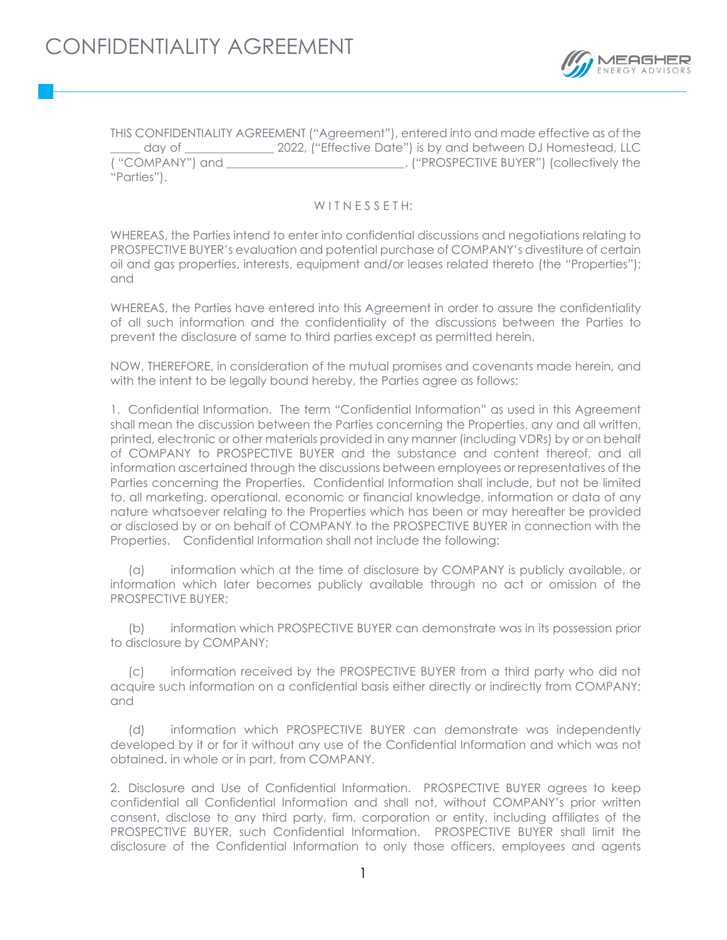

THIS CONFIDENTIALITY AGREEMENT ("Agreement"), entered into and made effective as of the day of  $2022$ , ("Effective Date") is by and between DJ Homestead, LLC ( "COMPANY") and  $\blacksquare$  and  $\blacksquare$  . ("PROSPECTIVE BUYER") (collectively the "Parties").

## WITNESSETH:

WHEREAS, the Parties intend to enter into confidential discussions and negotiations relating to PROSPECTIVE BUYER's evaluation and potential purchase of COMPANY's divestiture of certain oil and gas properties, interests, equipment and/or leases related thereto (the "Properties"); and

WHEREAS, the Parties have entered into this Agreement in order to assure the confidentiality of all such information and the confidentiality of the discussions between the Parties to prevent the disclosure of same to third parties except as permitted herein.

NOW, THEREFORE, in consideration of the mutual promises and covenants made herein, and with the intent to be legally bound hereby, the Parties agree as follows:

1. Confidential Information. The term "Confidential Information" as used in this Agreement shall mean the discussion between the Parties concerning the Properties, any and all written, printed, electronic or other materials provided in any manner (including VDRs) by or on behalf of COMPANY to PROSPECTIVE BUYER and the substance and content thereof, and all information ascertained through the discussions between employees or representatives of the Parties concerning the Properties. Confidential Information shall include, but not be limited to, all marketing, operational, economic or financial knowledge, information or data of any nature whatsoever relating to the Properties which has been or may hereafter be provided or disclosed by or on behalf of COMPANY to the PROSPECTIVE BUYER in connection with the Properties. Confidential Information shall not include the following:

(a) information which at the time of disclosure by COMPANY is publicly available, or information which later becomes publicly available through no act or omission of the PROSPECTIVE BUYER;

(b) information which PROSPECTIVE BUYER can demonstrate was in its possession prior to disclosure by COMPANY;

(c) information received by the PROSPECTIVE BUYER from a third party who did not acquire such information on a confidential basis either directly or indirectly from COMPANY; and

(d) information which PROSPECTIVE BUYER can demonstrate was independently developed by it or for it without any use of the Confidential Information and which was not obtained, in whole or in part, from COMPANY.

2. Disclosure and Use of Confidential Information. PROSPECTIVE BUYER agrees to keep confidential all Confidential Information and shall not, without COMPANY's prior written consent, disclose to any third party, firm, corporation or entity, including affiliates of the PROSPECTIVE BUYER, such Confidential Information. PROSPECTIVE BUYER shall limit the disclosure of the Confidential Information to only those officers, employees and agents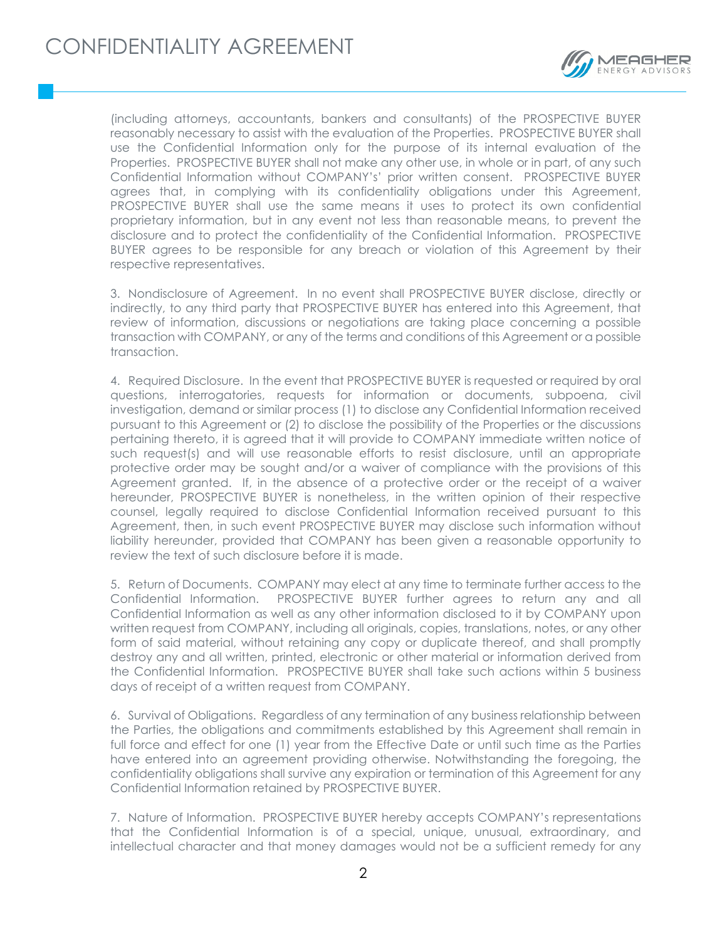

(including attorneys, accountants, bankers and consultants) of the PROSPECTIVE BUYER reasonably necessary to assist with the evaluation of the Properties. PROSPECTIVE BUYER shall use the Confidential Information only for the purpose of its internal evaluation of the Properties. PROSPECTIVE BUYER shall not make any other use, in whole or in part, of any such Confidential Information without COMPANY's' prior written consent. PROSPECTIVE BUYER agrees that, in complying with its confidentiality obligations under this Agreement, PROSPECTIVE BUYER shall use the same means it uses to protect its own confidential proprietary information, but in any event not less than reasonable means, to prevent the disclosure and to protect the confidentiality of the Confidential Information. PROSPECTIVE BUYER agrees to be responsible for any breach or violation of this Agreement by their respective representatives.

3. Nondisclosure of Agreement. In no event shall PROSPECTIVE BUYER disclose, directly or indirectly, to any third party that PROSPECTIVE BUYER has entered into this Agreement, that review of information, discussions or negotiations are taking place concerning a possible transaction with COMPANY, or any of the terms and conditions of this Agreement or a possible transaction.

4. Required Disclosure. In the event that PROSPECTIVE BUYER is requested or required by oral questions, interrogatories, requests for information or documents, subpoena, civil investigation, demand or similar process (1) to disclose any Confidential Information received pursuant to this Agreement or (2) to disclose the possibility of the Properties or the discussions pertaining thereto, it is agreed that it will provide to COMPANY immediate written notice of such request(s) and will use reasonable efforts to resist disclosure, until an appropriate protective order may be sought and/or a waiver of compliance with the provisions of this Agreement granted. If, in the absence of a protective order or the receipt of a waiver hereunder, PROSPECTIVE BUYER is nonetheless, in the written opinion of their respective counsel, legally required to disclose Confidential Information received pursuant to this Agreement, then, in such event PROSPECTIVE BUYER may disclose such information without liability hereunder, provided that COMPANY has been given a reasonable opportunity to review the text of such disclosure before it is made.

5. Return of Documents. COMPANY may elect at any time to terminate further access to the Confidential Information. PROSPECTIVE BUYER further agrees to return any and all Confidential Information as well as any other information disclosed to it by COMPANY upon written request from COMPANY, including all originals, copies, translations, notes, or any other form of said material, without retaining any copy or duplicate thereof, and shall promptly destroy any and all written, printed, electronic or other material or information derived from the Confidential Information. PROSPECTIVE BUYER shall take such actions within 5 business days of receipt of a written request from COMPANY.

6. Survival of Obligations. Regardless of any termination of any business relationship between the Parties, the obligations and commitments established by this Agreement shall remain in full force and effect for one (1) year from the Effective Date or until such time as the Parties have entered into an agreement providing otherwise. Notwithstanding the foregoing, the confidentiality obligations shall survive any expiration or termination of this Agreement for any Confidential Information retained by PROSPECTIVE BUYER.

7. Nature of Information. PROSPECTIVE BUYER hereby accepts COMPANY's representations that the Confidential Information is of a special, unique, unusual, extraordinary, and intellectual character and that money damages would not be a sufficient remedy for any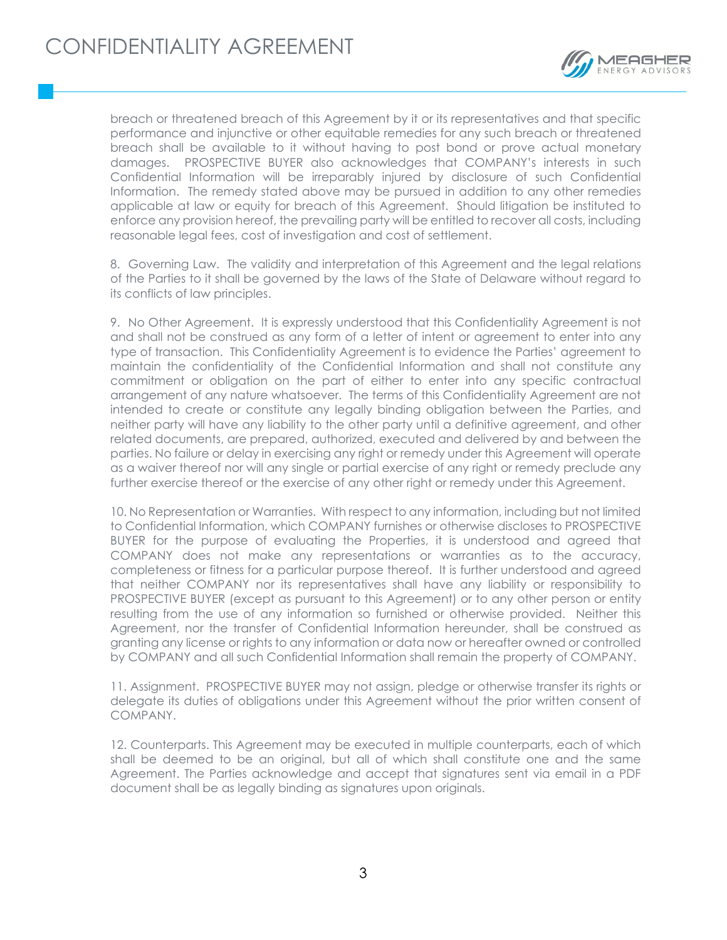

breach or threatened breach of this Agreement by it or its representatives and that specific performance and injunctive or other equitable remedies for any such breach or threatened breach shall be available to it without having to post bond or prove actual monetary damages. PROSPECTIVE BUYER also acknowledges that COMPANY's interests in such Confidential Information will be irreparably injured by disclosure of such Confidential Information. The remedy stated above may be pursued in addition to any other remedies applicable at law or equity for breach of this Agreement. Should litigation be instituted to enforce any provision hereof, the prevailing party will be entitled to recover all costs, including reasonable legal fees, cost of investigation and cost of settlement.

8. Governing Law. The validity and interpretation of this Agreement and the legal relations of the Parties to it shall be governed by the laws of the State of Delaware without regard to its conflicts of law principles.

9. No Other Agreement. It is expressly understood that this Confidentiality Agreement is not and shall not be construed as any form of a letter of intent or agreement to enter into any type of transaction. This Confidentiality Agreement is to evidence the Parties' agreement to maintain the confidentiality of the Confidential Information and shall not constitute any commitment or obligation on the part of either to enter into any specific contractual arrangement of any nature whatsoever. The terms of this Confidentiality Agreement are not intended to create or constitute any legally binding obligation between the Parties, and neither party will have any liability to the other party until a definitive agreement, and other related documents, are prepared, authorized, executed and delivered by and between the parties. No failure or delay in exercising any right or remedy under this Agreement will operate as a waiver thereof nor will any single or partial exercise of any right or remedy preclude any further exercise thereof or the exercise of any other right or remedy under this Agreement.

10. No Representation or Warranties. With respect to any information, including but not limited to Confidential Information, which COMPANY furnishes or otherwise discloses to PROSPECTIVE BUYER for the purpose of evaluating the Properties, it is understood and agreed that COMPANY does not make any representations or warranties as to the accuracy, completeness or fitness for a particular purpose thereof. It is further understood and agreed that neither COMPANY nor its representatives shall have any liability or responsibility to PROSPECTIVE BUYER (except as pursuant to this Agreement) or to any other person or entity resulting from the use of any information so furnished or otherwise provided. Neither this Agreement, nor the transfer of Confidential Information hereunder, shall be construed as granting any license or rights to any information or data now or hereafter owned or controlled by COMPANY and all such Confidential Information shall remain the property of COMPANY.

11. Assignment. PROSPECTIVE BUYER may not assign, pledge or otherwise transfer its rights or delegate its duties of obligations under this Agreement without the prior written consent of COMPANY.

12. Counterparts. This Agreement may be executed in multiple counterparts, each of which shall be deemed to be an original, but all of which shall constitute one and the same Agreement. The Parties acknowledge and accept that signatures sent via email in a PDF document shall be as legally binding as signatures upon originals.